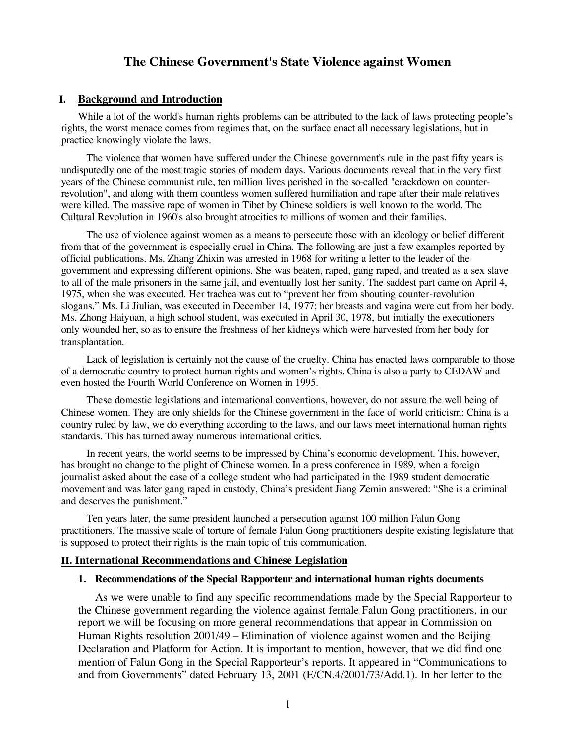# **The Chinese Government's State Violence against Women**

#### **I. Background and Introduction**

While a lot of the world's human rights problems can be attributed to the lack of laws protecting people's rights, the worst menace comes from regimes that, on the surface enact all necessary legislations, but in practice knowingly violate the laws.

The violence that women have suffered under the Chinese government's rule in the past fifty years is undisputedly one of the most tragic stories of modern days. Various documents reveal that in the very first years of the Chinese communist rule, ten million lives perished in the so-called "crackdown on counterrevolution", and along with them countless women suffered humiliation and rape after their male relatives were killed. The massive rape of women in Tibet by Chinese soldiers is well known to the world. The Cultural Revolution in 1960's also brought atrocities to millions of women and their families.

The use of violence against women as a means to persecute those with an ideology or belief different from that of the government is especially cruel in China. The following are just a few examples reported by official publications. Ms. Zhang Zhixin was arrested in 1968 for writing a letter to the leader of the government and expressing different opinions. She was beaten, raped, gang raped, and treated as a sex slave to all of the male prisoners in the same jail, and eventually lost her sanity. The saddest part came on April 4, 1975, when she was executed. Her trachea was cut to "prevent her from shouting counter-revolution slogans." Ms. Li Jiulian, was executed in December 14, 1977; her breasts and vagina were cut from her body. Ms. Zhong Haiyuan, a high school student, was executed in April 30, 1978, but initially the executioners only wounded her, so as to ensure the freshness of her kidneys which were harvested from her body for transplantation.

Lack of legislation is certainly not the cause of the cruelty. China has enacted laws comparable to those of a democratic country to protect human rights and women's rights. China is also a party to CEDAW and even hosted the Fourth World Conference on Women in 1995.

These domestic legislations and international conventions, however, do not assure the well being of Chinese women. They are only shields for the Chinese government in the face of world criticism: China is a country ruled by law, we do everything according to the laws, and our laws meet international human rights standards. This has turned away numerous international critics.

In recent years, the world seems to be impressed by China's economic development. This, however, has brought no change to the plight of Chinese women. In a press conference in 1989, when a foreign journalist asked about the case of a college student who had participated in the 1989 student democratic movement and was later gang raped in custody, China's president Jiang Zemin answered: "She is a criminal and deserves the punishment."

Ten years later, the same president launched a persecution against 100 million Falun Gong practitioners. The massive scale of torture of female Falun Gong practitioners despite existing legislature that is supposed to protect their rights is the main topic of this communication.

#### **II. International Recommendations and Chinese Legislation**

### **1. Recommendations of the Special Rapporteur and international human rights documents**

As we were unable to find any specific recommendations made by the Special Rapporteur to the Chinese government regarding the violence against female Falun Gong practitioners, in our report we will be focusing on more general recommendations that appear in Commission on Human Rights resolution 2001/49 – Elimination of violence against women and the Beijing Declaration and Platform for Action. It is important to mention, however, that we did find one mention of Falun Gong in the Special Rapporteur's reports. It appeared in "Communications to and from Governments" dated February 13, 2001 (E/CN.4/2001/73/Add.1). In her letter to the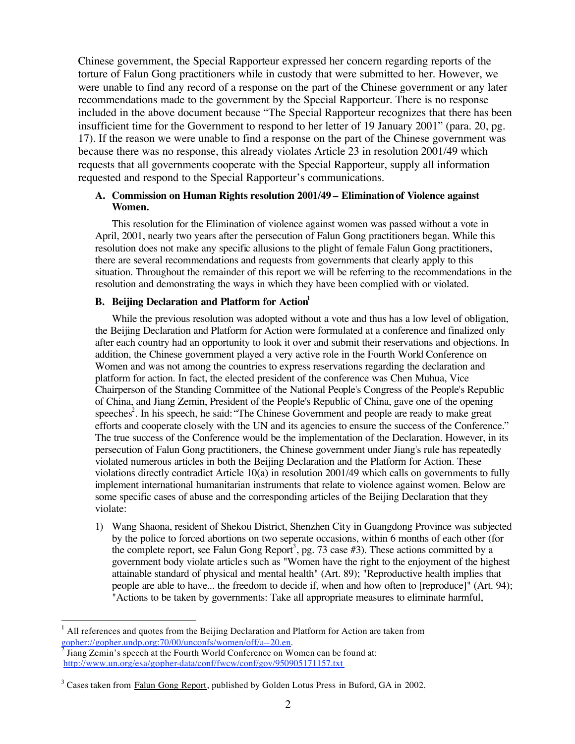Chinese government, the Special Rapporteur expressed her concern regarding reports of the torture of Falun Gong practitioners while in custody that were submitted to her. However, we were unable to find any record of a response on the part of the Chinese government or any later recommendations made to the government by the Special Rapporteur. There is no response included in the above document because "The Special Rapporteur recognizes that there has been insufficient time for the Government to respond to her letter of 19 January 2001" (para. 20, pg. 17). If the reason we were unable to find a response on the part of the Chinese government was because there was no response, this already violates Article 23 in resolution 2001/49 which requests that all governments cooperate with the Special Rapporteur, supply all information requested and respond to the Special Rapporteur's communications.

## **A. Commission on Human Rights resolution 2001/49 – Eliminationof Violence against Women.**

This resolution for the Elimination of violence against women was passed without a vote in April, 2001, nearly two years after the persecution of Falun Gong practitioners began. While this resolution does not make any specific allusions to the plight of female Falun Gong practitioners, there are several recommendations and requests from governments that clearly apply to this situation. Throughout the remainder of this report we will be referring to the recommendations in the resolution and demonstrating the ways in which they have been complied with or violated.

# **B. Beijing Declaration and Platform for Action 1**

While the previous resolution was adopted without a vote and thus has a low level of obligation, the Beijing Declaration and Platform for Action were formulated at a conference and finalized only after each country had an opportunity to look it over and submit their reservations and objections. In addition, the Chinese government played a very active role in the Fourth World Conference on Women and was not among the countries to express reservations regarding the declaration and platform for action. In fact, the elected president of the conference was Chen Muhua, Vice Chairperson of the Standing Committee of the National People's Congress of the People's Republic of China, and Jiang Zemin, President of the People's Republic of China, gave one of the opening speeches 2 . In his speech, he said: "The Chinese Government and people are ready to make great efforts and cooperate closely with the UN and its agencies to ensure the success of the Conference." The true success of the Conference would be the implementation of the Declaration. However, in its persecution of Falun Gong practitioners, the Chinese government under Jiang's rule has repeatedly violated numerous articles in both the Beijing Declaration and the Platform for Action. These violations directly contradict Article 10(a) in resolution 2001/49 which calls on governments to fully implement international humanitarian instruments that relate to violence against women. Below are some specific cases of abuse and the corresponding articles of the Beijing Declaration that they violate:

1) Wang Shaona, resident of Shekou District, Shenzhen City in Guangdong Province was subjected by the police to forced abortions on two seperate occasions, within 6 months of each other (for the complete report, see Falun Gong Report<sup>3</sup>, pg. 73 case  $#3$ ). These actions committed by a government body violate article s such as "Women have the right to the enjoyment of the highest attainable standard of physical and mental health" (Art. 89); "Reproductive health implies that people are able to have... the freedom to decide if, when and how often to [reproduce]" (Art. 94); "Actions to be taken by governments: Take all appropriate measures to eliminate harmful,

 $1$  All references and quotes from the Beijing Declaration and Platform for Action are taken from: gopher://gopher.undp.org:70/00/unconfs/women/off/a--20.en.<br><sup>2</sup> Jiang Zemin's speech at the Fourth World Conference on Women can be found at:

http://www.un.org/esa/gopher-data/conf/fwcw/conf/gov/950905171157.txt

 $3$  Cases taken from Falun Gong Report, published by Golden Lotus Press in Buford, GA in 2002.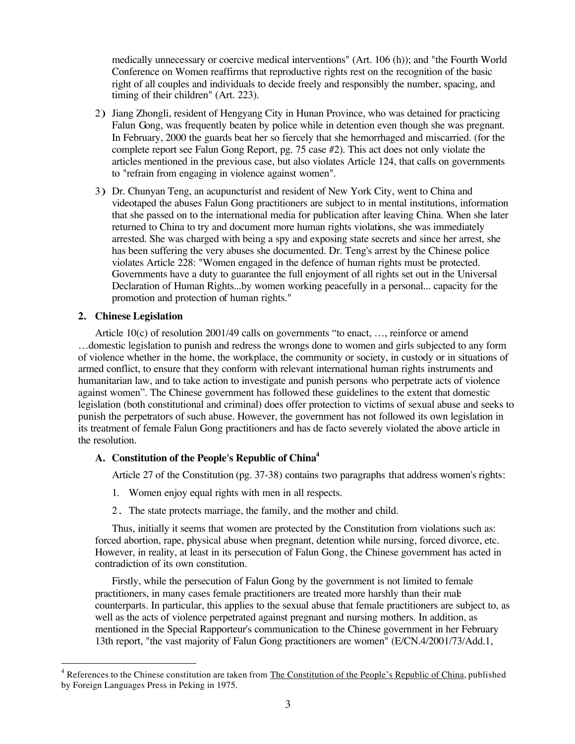medically unnecessary or coercive medical interventions" (Art. 106 (h)); and "the Fourth World Conference on Women reaffirms that reproductive rights rest on the recognition of the basic right of all couples and individuals to decide freely and responsibly the number, spacing, and timing of their children" (Art. 223).

- 2) Jiang Zhongli, resident of Hengyang City in Hunan Province, who was detained for practicing Falun Gong, was frequently beaten by police while in detention even though she was pregnant. In February, 2000 the guards beat her so fiercely that she hemorrhaged and miscarried. (for the complete report see Falun Gong Report, pg. 75 case #2). This act does not only violate the articles mentioned in the previous case, but also violates Article 124, that calls on governments to "refrain from engaging in violence against women".
- 3) Dr. Chunyan Teng, an acupuncturist and resident of New York City, went to China and videotaped the abuses Falun Gong practitioners are subject to in mental institutions, information that she passed on to the international media for publication after leaving China. When she later returned to China to try and document more human rights violations, she was immediately arrested. She was charged with being a spy and exposing state secrets and since her arrest, she has been suffering the very abuses she documented. Dr. Teng's arrest by the Chinese police violates Article 228: "Women engaged in the defence of human rights must be protected. Governments have a duty to guarantee the full enjoyment of all rights set out in the Universal Declaration of Human Rights...by women working peacefully in a personal... capacity for the promotion and protection of human rights."

### **2. Chinese Legislation**

Article 10(c) of resolution 2001/49 calls on governments "to enact, …, reinforce or amend …domestic legislation to punish and redress the wrongs done to women and girls subjected to any form of violence whether in the home, the workplace, the community or society, in custody or in situations of armed conflict, to ensure that they conform with relevant international human rights instruments and humanitarian law, and to take action to investigate and punish persons who perpetrate acts of violence against women". The Chinese government has followed these guidelines to the extent that domestic legislation (both constitutional and criminal) does offer protection to victims of sexual abuse and seeks to punish the perpetrators of such abuse. However, the government has not followed its own legislation in its treatment of female Falun Gong practitioners and has de facto severely violated the above article in the resolution.

## **A. Constitution of the People's Republic of China4**

Article 27 of the Constitution (pg. 37-38) contains two paragraphs that address women's rights:

- 1. Women enjoy equal rights with men in all respects.
- 2. The state protects marriage, the family, and the mother and child.

Thus, initially it seems that women are protected by the Constitution from violations such as: forced abortion, rape, physical abuse when pregnant, detention while nursing, forced divorce, etc. However, in reality, at least in its persecution of Falun Gong, the Chinese government has acted in contradiction of its own constitution.

Firstly, while the persecution of Falun Gong by the government is not limited to female practitioners, in many cases female practitioners are treated more harshly than their male counterparts. In particular, this applies to the sexual abuse that female practitioners are subject to, as well as the acts of violence perpetrated against pregnant and nursing mothers. In addition, as mentioned in the Special Rapporteur's communication to the Chinese government in her February 13th report, "the vast majority of Falun Gong practitioners are women" (E/CN.4/2001/73/Add.1,

 $4$  References to the Chinese constitution are taken from The Constitution of the People's Republic of China, published by Foreign Languages Press in Peking in 1975.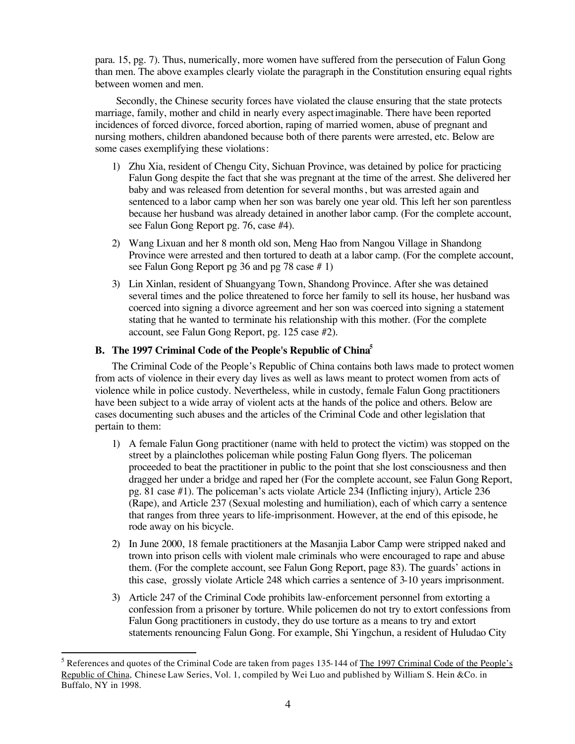para. 15, pg. 7). Thus, numerically, more women have suffered from the persecution of Falun Gong than men. The above examples clearly violate the paragraph in the Constitution ensuring equal rights between women and men.

Secondly, the Chinese security forces have violated the clause ensuring that the state protects marriage, family, mother and child in nearly every aspectimaginable. There have been reported incidences of forced divorce, forced abortion, raping of married women, abuse of pregnant and nursing mothers, children abandoned because both of there parents were arrested, etc. Below are some cases exemplifying these violations:

- 1) Zhu Xia, resident of Chengu City, Sichuan Province, was detained by police for practicing Falun Gong despite the fact that she was pregnant at the time of the arrest. She delivered her baby and was released from detention for several months, but was arrested again and sentenced to a labor camp when her son was barely one year old. This left her son parentless because her husband was already detained in another labor camp. (For the complete account, see Falun Gong Report pg. 76, case #4).
- 2) Wang Lixuan and her 8 month old son, Meng Hao from Nangou Village in Shandong Province were arrested and then tortured to death at a labor camp. (For the complete account, see Falun Gong Report pg 36 and pg 78 case # 1)
- 3) Lin Xinlan, resident of Shuangyang Town, Shandong Province. After she was detained several times and the police threatened to force her family to sell its house, her husband was coerced into signing a divorce agreement and her son was coerced into signing a statement stating that he wanted to terminate his relationship with this mother. (For the complete account, see Falun Gong Report, pg. 125 case #2).

# **B. The 1997 Criminal Code of the People's Republic of China 5**

The Criminal Code of the People's Republic of China contains both laws made to protect women from acts of violence in their every day lives as well as laws meant to protect women from acts of violence while in police custody. Nevertheless, while in custody, female Falun Gong practitioners have been subject to a wide array of violent acts at the hands of the police and others. Below are cases documenting such abuses and the articles of the Criminal Code and other legislation that pertain to them:

- 1) A female Falun Gong practitioner (name with held to protect the victim) was stopped on the street by a plainclothes policeman while posting Falun Gong flyers. The policeman proceeded to beat the practitioner in public to the point that she lost consciousness and then dragged her under a bridge and raped her (For the complete account, see Falun Gong Report, pg. 81 case #1). The policeman's acts violate Article 234 (Inflicting injury), Article 236 (Rape), and Article 237 (Sexual molesting and humiliation), each of which carry a sentence that ranges from three years to life-imprisonment. However, at the end of this episode, he rode away on his bicycle.
- 2) In June 2000, 18 female practitioners at the Masanjia Labor Camp were stripped naked and trown into prison cells with violent male criminals who were encouraged to rape and abuse them. (For the complete account, see Falun Gong Report, page 83). The guards' actions in this case, grossly violate Article 248 which carries a sentence of 3-10 years imprisonment.
- 3) Article 247 of the Criminal Code prohibits law-enforcement personnel from extorting a confession from a prisoner by torture. While policemen do not try to extort confessions from Falun Gong practitioners in custody, they do use torture as a means to try and extort statements renouncing Falun Gong. For example, Shi Yingchun, a resident of Huludao City

<sup>&</sup>lt;sup>5</sup> References and quotes of the Criminal Code are taken from pages 135-144 of The 1997 Criminal Code of the People's Republic of China, Chinese Law Series, Vol. 1, compiled by Wei Luo and published by William S. Hein &Co. in Buffalo, NY in 1998.